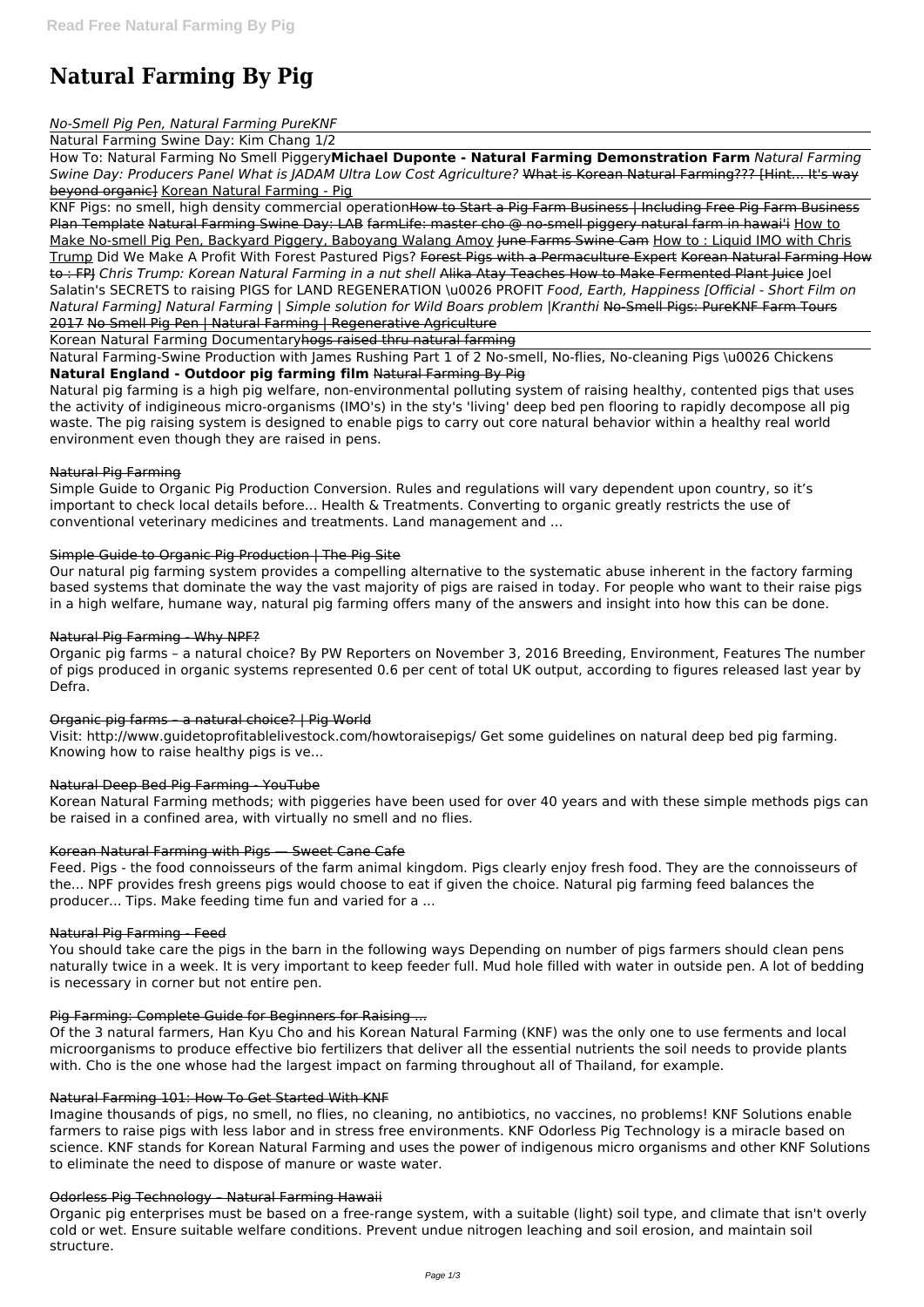# **Natural Farming By Pig**

### *No-Smell Pig Pen, Natural Farming PureKNF*

Natural Farming Swine Day: Kim Chang 1/2

How To: Natural Farming No Smell Piggery**Michael Duponte - Natural Farming Demonstration Farm** *Natural Farming Swine Day: Producers Panel What is JADAM Ultra Low Cost Agriculture?* What is Korean Natural Farming??? [Hint... It's way beyond organic] Korean Natural Farming - Pig

KNF Pigs: no smell, high density commercial operationHow to Start a Pig Farm Business | Including Free Pig Farm Business Plan Template Natural Farming Swine Day: LAB farmLife: master cho @ no-smell piggery natural farm in hawai'i How to Make No-smell Pig Pen, Backyard Piggery, Baboyang Walang Amoy <del>June Farms Swine Cam How to: Liquid IMO with Chris</del> Trump Did We Make A Profit With Forest Pastured Pigs? Forest Pigs with a Permaculture Expert Korean Natural Farming How to : FPJ *Chris Trump: Korean Natural Farming in a nut shell* Alika Atay Teaches How to Make Fermented Plant Juice Joel Salatin's SECRETS to raising PIGS for LAND REGENERATION \u0026 PROFIT *Food, Earth, Happiness [Official - Short Film on Natural Farming] Natural Farming | Simple solution for Wild Boars problem |Kranthi* No-Smell Pigs: PureKNF Farm Tours 2017 No Smell Pig Pen | Natural Farming | Regenerative Agriculture

Korean Natural Farming Documentaryhogs raised thru natural farming

Natural Farming-Swine Production with James Rushing Part 1 of 2 No-smell, No-flies, No-cleaning Pigs \u0026 Chickens **Natural England - Outdoor pig farming film** Natural Farming By Pig

Natural pig farming is a high pig welfare, non-environmental polluting system of raising healthy, contented pigs that uses the activity of indigineous micro-organisms (IMO's) in the sty's 'living' deep bed pen flooring to rapidly decompose all pig waste. The pig raising system is designed to enable pigs to carry out core natural behavior within a healthy real world environment even though they are raised in pens.

### Natural Pig Farming

Simple Guide to Organic Pig Production Conversion. Rules and regulations will vary dependent upon country, so it's important to check local details before... Health & Treatments. Converting to organic greatly restricts the use of conventional veterinary medicines and treatments. Land management and ...

# Simple Guide to Organic Pig Production | The Pig Site

Our natural pig farming system provides a compelling alternative to the systematic abuse inherent in the factory farming based systems that dominate the way the vast majority of pigs are raised in today. For people who want to their raise pigs in a high welfare, humane way, natural pig farming offers many of the answers and insight into how this can be done.

### Natural Pig Farming - Why NPF?

Organic pig farms – a natural choice? By PW Reporters on November 3, 2016 Breeding, Environment, Features The number of pigs produced in organic systems represented 0.6 per cent of total UK output, according to figures released last year by Defra.

### Organic pig farms – a natural choice? | Pig World

Visit: http://www.guidetoprofitablelivestock.com/howtoraisepigs/ Get some guidelines on natural deep bed pig farming. Knowing how to raise healthy pigs is ve...

### Natural Deep Bed Pig Farming - YouTube

Korean Natural Farming methods; with piggeries have been used for over 40 years and with these simple methods pigs can be raised in a confined area, with virtually no smell and no flies.

### Korean Natural Farming with Pigs — Sweet Cane Cafe

Feed. Pigs - the food connoisseurs of the farm animal kingdom. Pigs clearly enjoy fresh food. They are the connoisseurs of the... NPF provides fresh greens pigs would choose to eat if given the choice. Natural pig farming feed balances the producer... Tips. Make feeding time fun and varied for a ...

### Natural Pig Farming - Feed

You should take care the pigs in the barn in the following ways Depending on number of pigs farmers should clean pens naturally twice in a week. It is very important to keep feeder full. Mud hole filled with water in outside pen. A lot of bedding is necessary in corner but not entire pen.

#### Pig Farming: Complete Guide for Beginners for Raising ...

Of the 3 natural farmers, Han Kyu Cho and his Korean Natural Farming (KNF) was the only one to use ferments and local microorganisms to produce effective bio fertilizers that deliver all the essential nutrients the soil needs to provide plants with. Cho is the one whose had the largest impact on farming throughout all of Thailand, for example.

#### Natural Farming 101: How To Get Started With KNF

Imagine thousands of pigs, no smell, no flies, no cleaning, no antibiotics, no vaccines, no problems! KNF Solutions enable farmers to raise pigs with less labor and in stress free environments. KNF Odorless Pig Technology is a miracle based on science. KNF stands for Korean Natural Farming and uses the power of indigenous micro organisms and other KNF Solutions to eliminate the need to dispose of manure or waste water.

#### Odorless Pig Technology – Natural Farming Hawaii

Organic pig enterprises must be based on a free-range system, with a suitable (light) soil type, and climate that isn't overly cold or wet. Ensure suitable welfare conditions. Prevent undue nitrogen leaching and soil erosion, and maintain soil structure.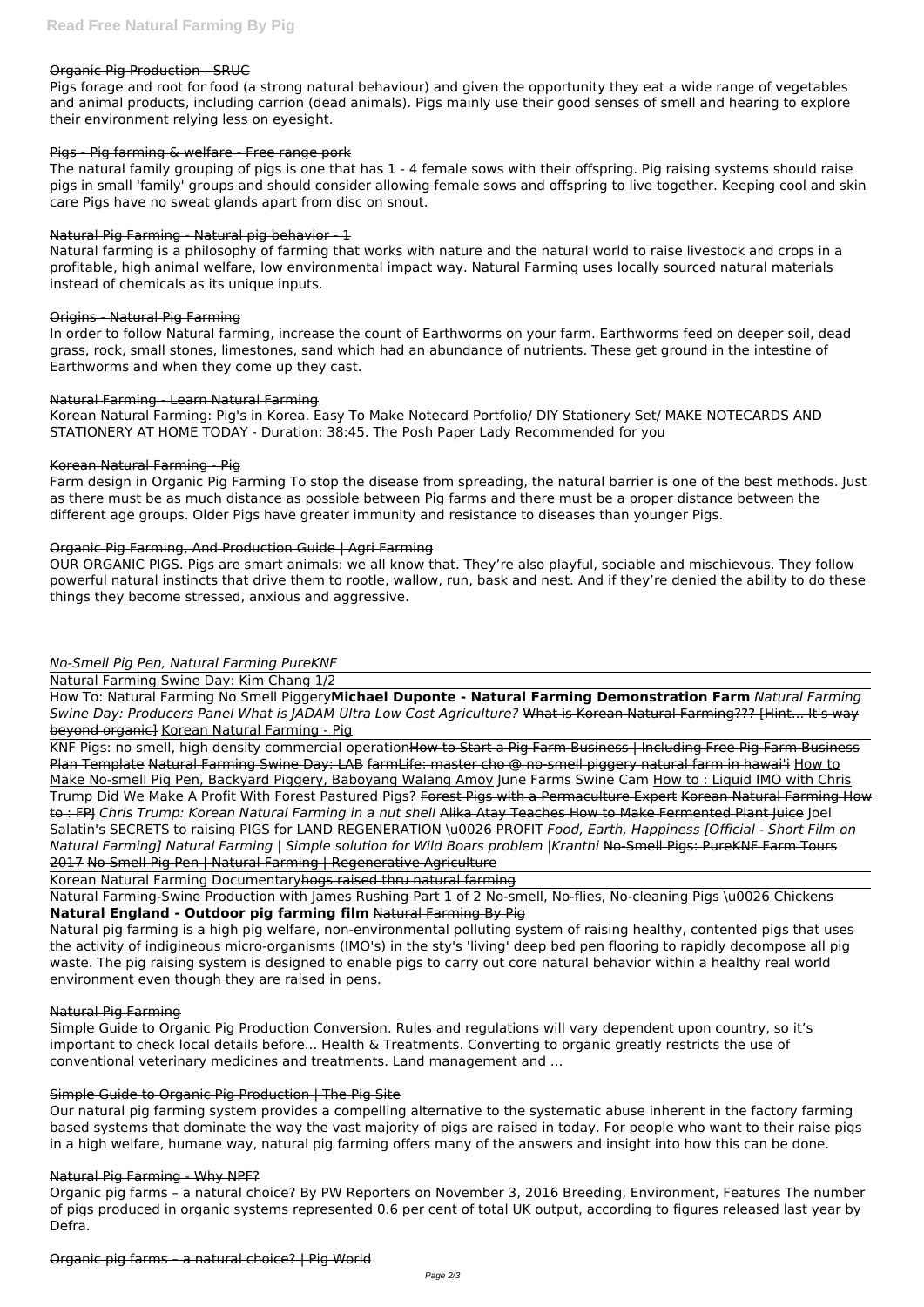### Organic Pig Production - SRUC

Pigs forage and root for food (a strong natural behaviour) and given the opportunity they eat a wide range of vegetables and animal products, including carrion (dead animals). Pigs mainly use their good senses of smell and hearing to explore their environment relying less on eyesight.

### Pigs - Pig farming & welfare - Free range pork

The natural family grouping of pigs is one that has 1 - 4 female sows with their offspring. Pig raising systems should raise pigs in small 'family' groups and should consider allowing female sows and offspring to live together. Keeping cool and skin care Pigs have no sweat glands apart from disc on snout.

### Natural Pig Farming - Natural pig behavior - 1

Natural farming is a philosophy of farming that works with nature and the natural world to raise livestock and crops in a profitable, high animal welfare, low environmental impact way. Natural Farming uses locally sourced natural materials instead of chemicals as its unique inputs.

### Origins - Natural Pig Farming

In order to follow Natural farming, increase the count of Earthworms on your farm. Earthworms feed on deeper soil, dead grass, rock, small stones, limestones, sand which had an abundance of nutrients. These get ground in the intestine of Earthworms and when they come up they cast.

### Natural Farming - Learn Natural Farming

Korean Natural Farming: Pig's in Korea. Easy To Make Notecard Portfolio/ DIY Stationery Set/ MAKE NOTECARDS AND STATIONERY AT HOME TODAY - Duration: 38:45. The Posh Paper Lady Recommended for you

### Korean Natural Farming - Pig

KNF Pigs: no smell, high density commercial operationHow to Start a Pig Farm Business | Including Free Pig Farm Business Plan Template Natural Farming Swine Day: LAB farmLife: master cho @ no-smell piggery natural farm in hawai'i How to Make No-smell Pig Pen, Backyard Piggery, Baboyang Walang Amoy June Farms Swine Cam How to: Liquid IMO with Chris Trump Did We Make A Profit With Forest Pastured Pigs? Forest Pigs with a Permaculture Expert Korean Natural Farming How to : FPJ *Chris Trump: Korean Natural Farming in a nut shell* Alika Atay Teaches How to Make Fermented Plant Juice Joel Salatin's SECRETS to raising PIGS for LAND REGENERATION \u0026 PROFIT *Food, Earth, Happiness [Official - Short Film on Natural Farming] Natural Farming | Simple solution for Wild Boars problem |Kranthi* No-Smell Pigs: PureKNF Farm Tours 2017 No Smell Pig Pen | Natural Farming | Regenerative Agriculture

Farm design in Organic Pig Farming To stop the disease from spreading, the natural barrier is one of the best methods. Just as there must be as much distance as possible between Pig farms and there must be a proper distance between the different age groups. Older Pigs have greater immunity and resistance to diseases than younger Pigs.

### Organic Pig Farming, And Production Guide | Agri Farming

OUR ORGANIC PIGS. Pigs are smart animals: we all know that. They're also playful, sociable and mischievous. They follow powerful natural instincts that drive them to rootle, wallow, run, bask and nest. And if they're denied the ability to do these things they become stressed, anxious and aggressive.

### *No-Smell Pig Pen, Natural Farming PureKNF*

Natural Farming Swine Day: Kim Chang 1/2

How To: Natural Farming No Smell Piggery**Michael Duponte - Natural Farming Demonstration Farm** *Natural Farming Swine Day: Producers Panel What is JADAM Ultra Low Cost Agriculture?* What is Korean Natural Farming??? [Hint... It's way beyond organic] Korean Natural Farming - Pig

Korean Natural Farming Documentaryhogs raised thru natural farming

Natural Farming-Swine Production with James Rushing Part 1 of 2 No-smell, No-flies, No-cleaning Pigs \u0026 Chickens **Natural England - Outdoor pig farming film** Natural Farming By Pig

Natural pig farming is a high pig welfare, non-environmental polluting system of raising healthy, contented pigs that uses the activity of indigineous micro-organisms (IMO's) in the sty's 'living' deep bed pen flooring to rapidly decompose all pig waste. The pig raising system is designed to enable pigs to carry out core natural behavior within a healthy real world environment even though they are raised in pens.

#### Natural Pig Farming

Simple Guide to Organic Pig Production Conversion. Rules and regulations will vary dependent upon country, so it's important to check local details before... Health & Treatments. Converting to organic greatly restricts the use of conventional veterinary medicines and treatments. Land management and ...

### Simple Guide to Organic Pig Production | The Pig Site

Our natural pig farming system provides a compelling alternative to the systematic abuse inherent in the factory farming based systems that dominate the way the vast majority of pigs are raised in today. For people who want to their raise pigs in a high welfare, humane way, natural pig farming offers many of the answers and insight into how this can be done.

### Natural Pig Farming - Why NPF?

Organic pig farms – a natural choice? By PW Reporters on November 3, 2016 Breeding, Environment, Features The number of pigs produced in organic systems represented 0.6 per cent of total UK output, according to figures released last year by Defra.

### Organic pig farms – a natural choice? | Pig World